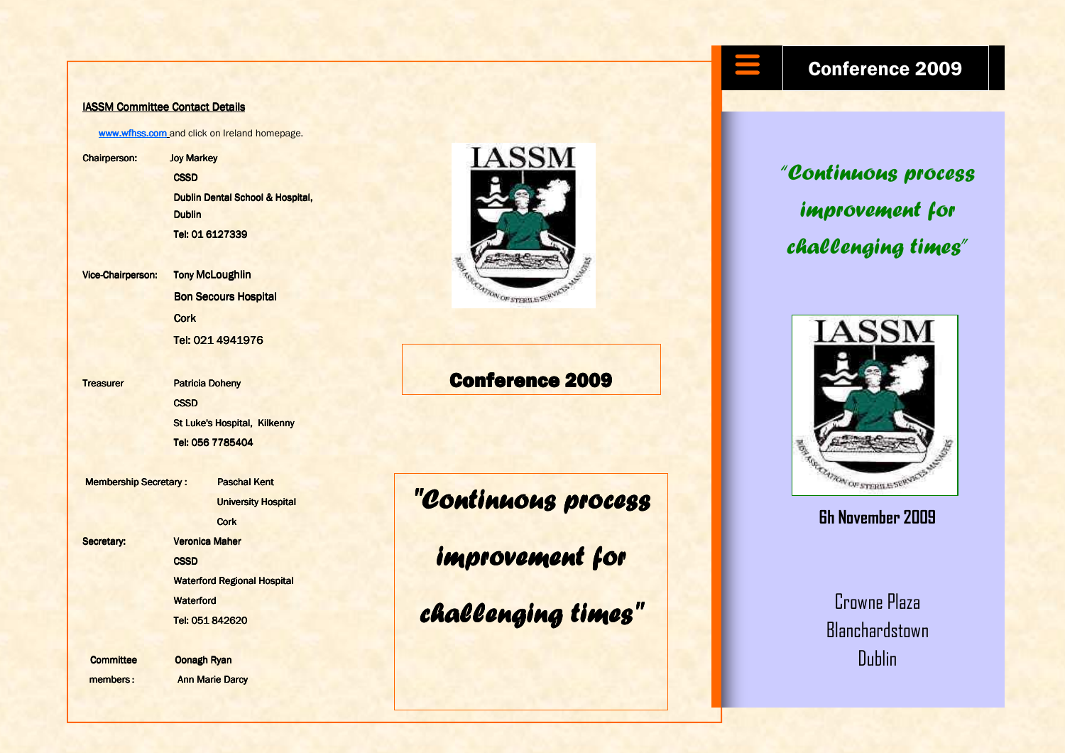#### IASSM Committee Contact Details

www.wfhss.com and click on Ireland homepage.

Chairperson: Joy Markey Chairperson: Joy Markey**CSSD** Dublin Dental School & Hospital, Dublin Tel: 01 6127339

Vice-Chairperson: **Tony McLoughlin Bon Secours Hospital Cork** Tel: 021 4941976

Treasurer Patricia Doheny **CSSD** 

**St Luke's Hospital, Kilkenny St Luke's Hospital, Kilkenny** Tel: 056 7785404 Tel: 056 <sup>7785404</sup>

Membership Secretary : Paschal Kent **University Hospital Cork** Secretary: **Secretary:** Veronica Maher **CSSD Example 3 Waterford Regional Hospital** Waterford Tel: 051 842620

Committee Oonagh Ryan members : **Ann Marie Darcy** 



## Conference 2009

# "Continuous process

improvement for

challenging times"

### Conference 2009

"Continuous process improvement for challenging times"



#### 6h November 2009

Crowne Plaza **Blanchardstown** Dublin